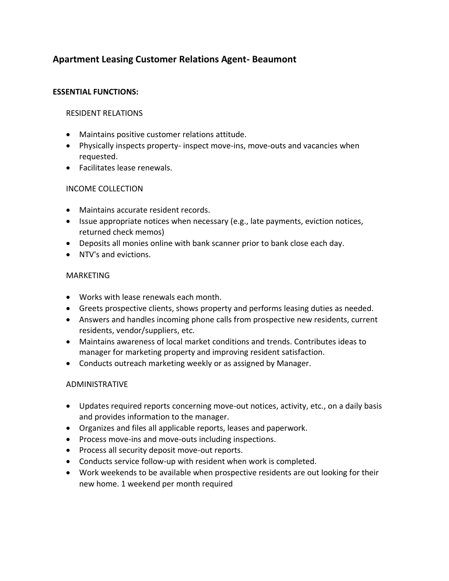# **Apartment Leasing Customer Relations Agent- Beaumont**

### **ESSENTIAL FUNCTIONS:**

### RESIDENT RELATIONS

- Maintains positive customer relations attitude.
- Physically inspects property- inspect move-ins, move-outs and vacancies when requested.
- Facilitates lease renewals.

# INCOME COLLECTION

- Maintains accurate resident records.
- Issue appropriate notices when necessary (e.g., late payments, eviction notices, returned check memos)
- Deposits all monies online with bank scanner prior to bank close each day.
- NTV's and evictions.

# MARKETING

- Works with lease renewals each month.
- Greets prospective clients, shows property and performs leasing duties as needed.
- Answers and handles incoming phone calls from prospective new residents, current residents, vendor/suppliers, etc.
- Maintains awareness of local market conditions and trends. Contributes ideas to manager for marketing property and improving resident satisfaction.
- Conducts outreach marketing weekly or as assigned by Manager.

# ADMINISTRATIVE

- Updates required reports concerning move-out notices, activity, etc., on a daily basis and provides information to the manager.
- Organizes and files all applicable reports, leases and paperwork.
- Process move-ins and move-outs including inspections.
- Process all security deposit move-out reports.
- Conducts service follow-up with resident when work is completed.
- Work weekends to be available when prospective residents are out looking for their new home. 1 weekend per month required